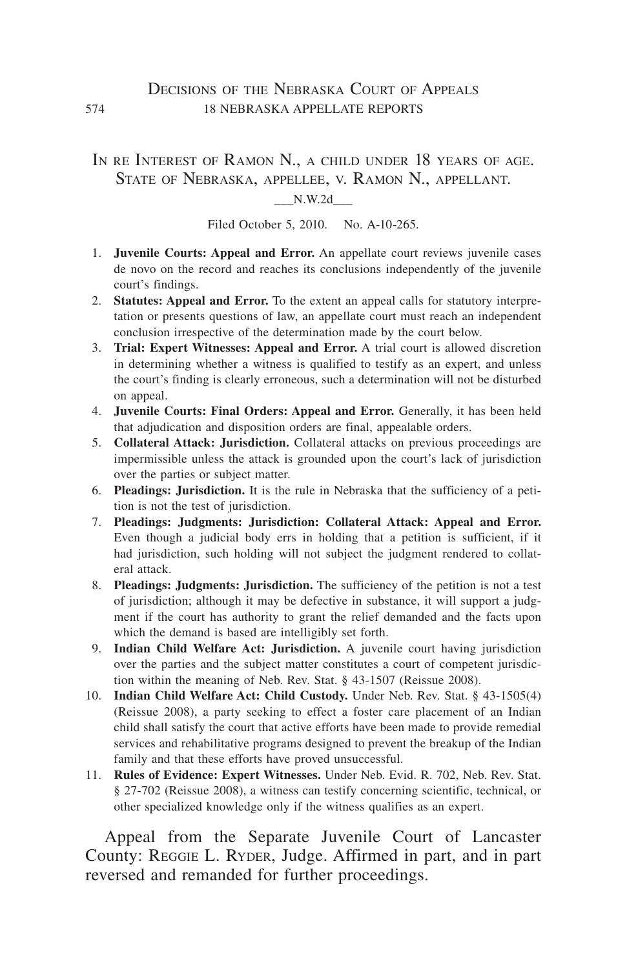### DECISIONS OF THE NEBRASKA COURT OF APPEALS 574 18 nebraska appellate reports

IN RE INTEREST OF RAMON N., A CHILD UNDER 18 YEARS OF AGE. State of Nebraska, appellee, v. Ramon N., appellant.

\_\_\_N.W.2d\_\_\_

Filed October 5, 2010. No. A-10-265.

- 1. **Juvenile Courts: Appeal and Error.** An appellate court reviews juvenile cases de novo on the record and reaches its conclusions independently of the juvenile court's findings.
- 2. **Statutes: Appeal and Error.** To the extent an appeal calls for statutory interpretation or presents questions of law, an appellate court must reach an independent conclusion irrespective of the determination made by the court below.
- 3. **Trial: Expert Witnesses: Appeal and Error.** A trial court is allowed discretion in determining whether a witness is qualified to testify as an expert, and unless the court's finding is clearly erroneous, such a determination will not be disturbed on appeal.
- 4. **Juvenile Courts: Final Orders: Appeal and Error.** Generally, it has been held that adjudication and disposition orders are final, appealable orders.
- 5. **Collateral Attack: Jurisdiction.** Collateral attacks on previous proceedings are impermissible unless the attack is grounded upon the court's lack of jurisdiction over the parties or subject matter.
- 6. **Pleadings: Jurisdiction.** It is the rule in Nebraska that the sufficiency of a petition is not the test of jurisdiction.
- 7. **Pleadings: Judgments: Jurisdiction: Collateral Attack: Appeal and Error.** Even though a judicial body errs in holding that a petition is sufficient, if it had jurisdiction, such holding will not subject the judgment rendered to collateral attack.
- 8. **Pleadings: Judgments: Jurisdiction.** The sufficiency of the petition is not a test of jurisdiction; although it may be defective in substance, it will support a judgment if the court has authority to grant the relief demanded and the facts upon which the demand is based are intelligibly set forth.
- 9. **Indian Child Welfare Act: Jurisdiction.** A juvenile court having jurisdiction over the parties and the subject matter constitutes a court of competent jurisdiction within the meaning of Neb. Rev. Stat. § 43-1507 (Reissue 2008).
- 10. **Indian Child Welfare Act: Child Custody.** Under Neb. Rev. Stat. § 43-1505(4) (Reissue 2008), a party seeking to effect a foster care placement of an Indian child shall satisfy the court that active efforts have been made to provide remedial services and rehabilitative programs designed to prevent the breakup of the Indian family and that these efforts have proved unsuccessful.
- 11. **Rules of Evidence: Expert Witnesses.** Under Neb. Evid. R. 702, Neb. Rev. Stat. § 27-702 (Reissue 2008), a witness can testify concerning scientific, technical, or other specialized knowledge only if the witness qualifies as an expert.

Appeal from the Separate Juvenile Court of Lancaster County: REGGIE L. RYDER, Judge. Affirmed in part, and in part reversed and remanded for further proceedings.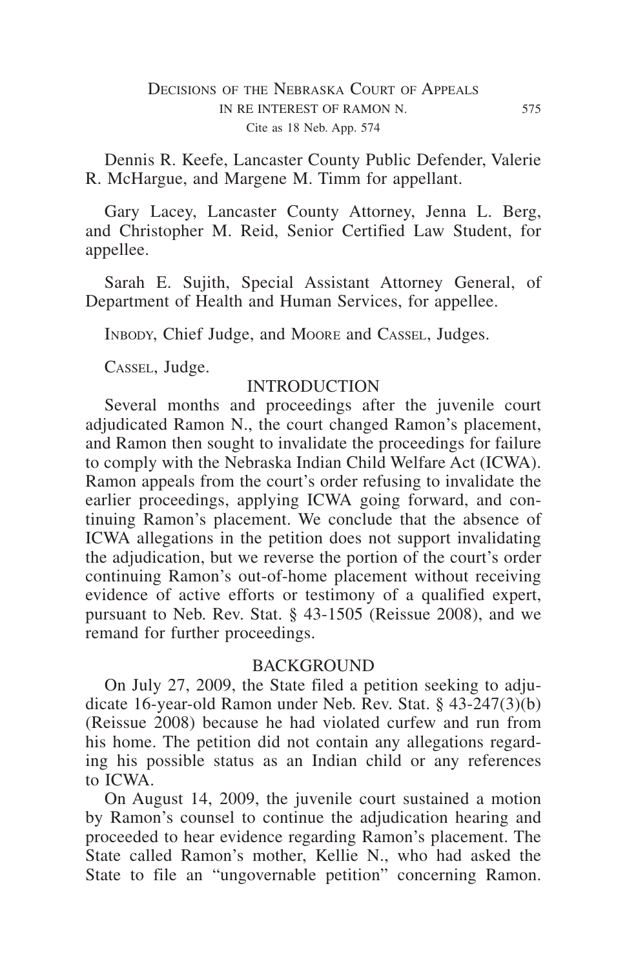Dennis R. Keefe, Lancaster County Public Defender, Valerie R. McHargue, and Margene M. Timm for appellant.

Gary Lacey, Lancaster County Attorney, Jenna L. Berg, and Christopher M. Reid, Senior Certified Law Student, for appellee.

Sarah E. Sujith, Special Assistant Attorney General, of Department of Health and Human Services, for appellee.

Inbody, Chief Judge, and Moore and Cassel, Judges.

Cassel, Judge.

### **INTRODUCTION**

Several months and proceedings after the juvenile court adjudicated Ramon N., the court changed Ramon's placement, and Ramon then sought to invalidate the proceedings for failure to comply with the Nebraska Indian Child Welfare Act (ICWA). Ramon appeals from the court's order refusing to invalidate the earlier proceedings, applying ICWA going forward, and continuing Ramon's placement. We conclude that the absence of ICWA allegations in the petition does not support invalidating the adjudication, but we reverse the portion of the court's order continuing Ramon's out-of-home placement without receiving evidence of active efforts or testimony of a qualified expert, pursuant to Neb. Rev. Stat. § 43-1505 (Reissue 2008), and we remand for further proceedings.

#### BACKGROUND

On July 27, 2009, the State filed a petition seeking to adjudicate 16-year-old Ramon under Neb. Rev. Stat. § 43-247(3)(b) (Reissue 2008) because he had violated curfew and run from his home. The petition did not contain any allegations regarding his possible status as an Indian child or any references to ICWA.

On August 14, 2009, the juvenile court sustained a motion by Ramon's counsel to continue the adjudication hearing and proceeded to hear evidence regarding Ramon's placement. The State called Ramon's mother, Kellie N., who had asked the State to file an "ungovernable petition" concerning Ramon.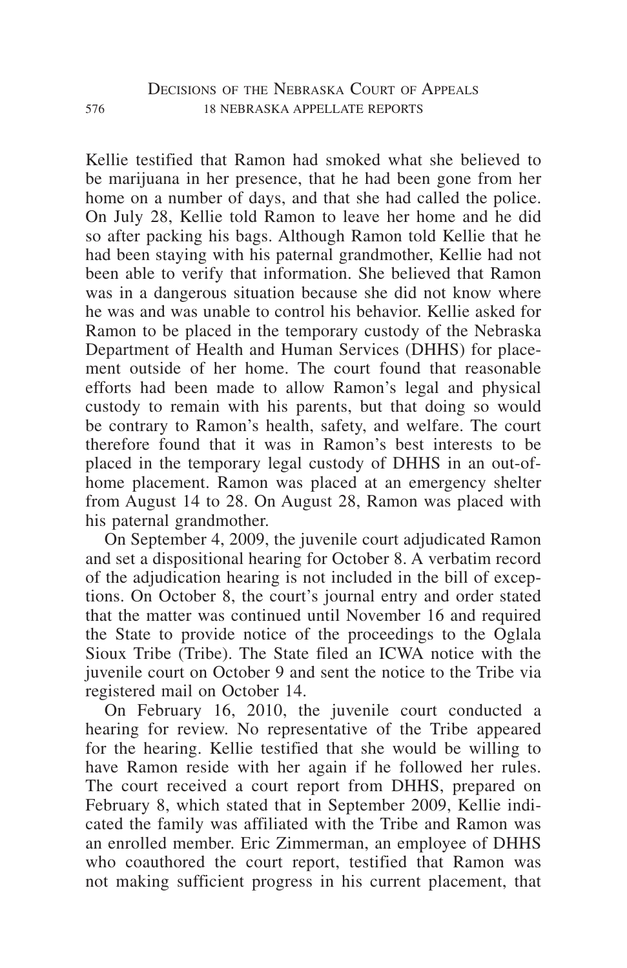Kellie testified that Ramon had smoked what she believed to be marijuana in her presence, that he had been gone from her home on a number of days, and that she had called the police. On July 28, Kellie told Ramon to leave her home and he did so after packing his bags. Although Ramon told Kellie that he had been staying with his paternal grandmother, Kellie had not been able to verify that information. She believed that Ramon was in a dangerous situation because she did not know where he was and was unable to control his behavior. Kellie asked for Ramon to be placed in the temporary custody of the Nebraska Department of Health and Human Services (DHHS) for placement outside of her home. The court found that reasonable efforts had been made to allow Ramon's legal and physical custody to remain with his parents, but that doing so would be contrary to Ramon's health, safety, and welfare. The court therefore found that it was in Ramon's best interests to be placed in the temporary legal custody of DHHS in an out-ofhome placement. Ramon was placed at an emergency shelter from August 14 to 28. On August 28, Ramon was placed with his paternal grandmother.

On September 4, 2009, the juvenile court adjudicated Ramon and set a dispositional hearing for October 8. A verbatim record of the adjudication hearing is not included in the bill of exceptions. On October 8, the court's journal entry and order stated that the matter was continued until November 16 and required the State to provide notice of the proceedings to the Oglala Sioux Tribe (Tribe). The State filed an ICWA notice with the juvenile court on October 9 and sent the notice to the Tribe via registered mail on October 14.

On February 16, 2010, the juvenile court conducted a hearing for review. No representative of the Tribe appeared for the hearing. Kellie testified that she would be willing to have Ramon reside with her again if he followed her rules. The court received a court report from DHHS, prepared on February 8, which stated that in September 2009, Kellie indicated the family was affiliated with the Tribe and Ramon was an enrolled member. Eric Zimmerman, an employee of DHHS who coauthored the court report, testified that Ramon was not making sufficient progress in his current placement, that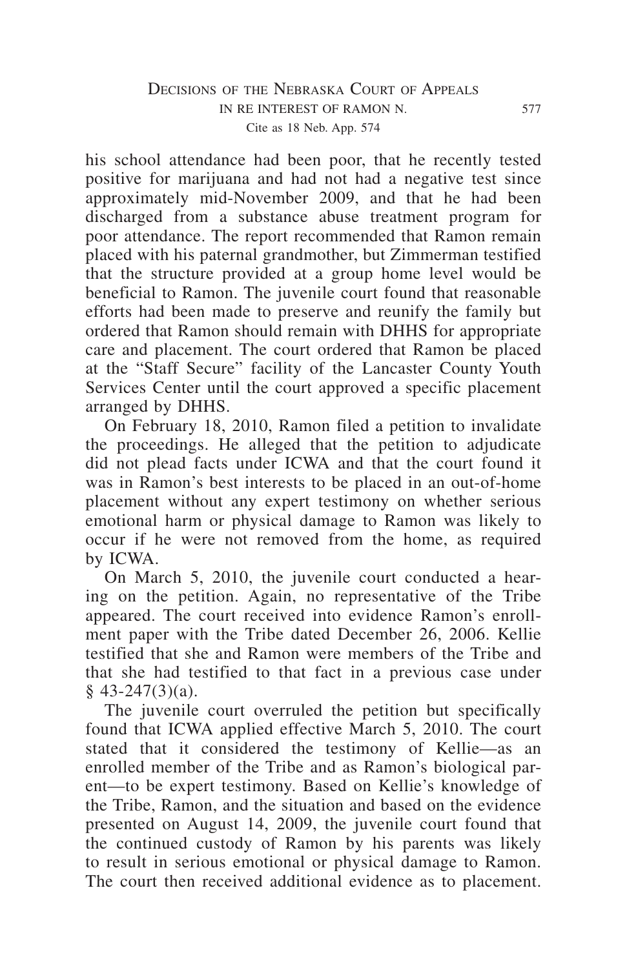## DECISIONS OF THE NEBRASKA COURT OF APPEALS in re interest of ramon n. 577 Cite as 18 Neb. App. 574

his school attendance had been poor, that he recently tested positive for marijuana and had not had a negative test since approximately mid-November 2009, and that he had been discharged from a substance abuse treatment program for poor attendance. The report recommended that Ramon remain placed with his paternal grandmother, but Zimmerman testified that the structure provided at a group home level would be beneficial to Ramon. The juvenile court found that reasonable efforts had been made to preserve and reunify the family but ordered that Ramon should remain with DHHS for appropriate care and placement. The court ordered that Ramon be placed at the "Staff Secure" facility of the Lancaster County Youth Services Center until the court approved a specific placement arranged by DHHS.

On February 18, 2010, Ramon filed a petition to invalidate the proceedings. He alleged that the petition to adjudicate did not plead facts under ICWA and that the court found it was in Ramon's best interests to be placed in an out-of-home placement without any expert testimony on whether serious emotional harm or physical damage to Ramon was likely to occur if he were not removed from the home, as required by ICWA.

On March 5, 2010, the juvenile court conducted a hearing on the petition. Again, no representative of the Tribe appeared. The court received into evidence Ramon's enrollment paper with the Tribe dated December 26, 2006. Kellie testified that she and Ramon were members of the Tribe and that she had testified to that fact in a previous case under  $§$  43-247(3)(a).

The juvenile court overruled the petition but specifically found that ICWA applied effective March 5, 2010. The court stated that it considered the testimony of Kellie—as an enrolled member of the Tribe and as Ramon's biological parent—to be expert testimony. Based on Kellie's knowledge of the Tribe, Ramon, and the situation and based on the evidence presented on August 14, 2009, the juvenile court found that the continued custody of Ramon by his parents was likely to result in serious emotional or physical damage to Ramon. The court then received additional evidence as to placement.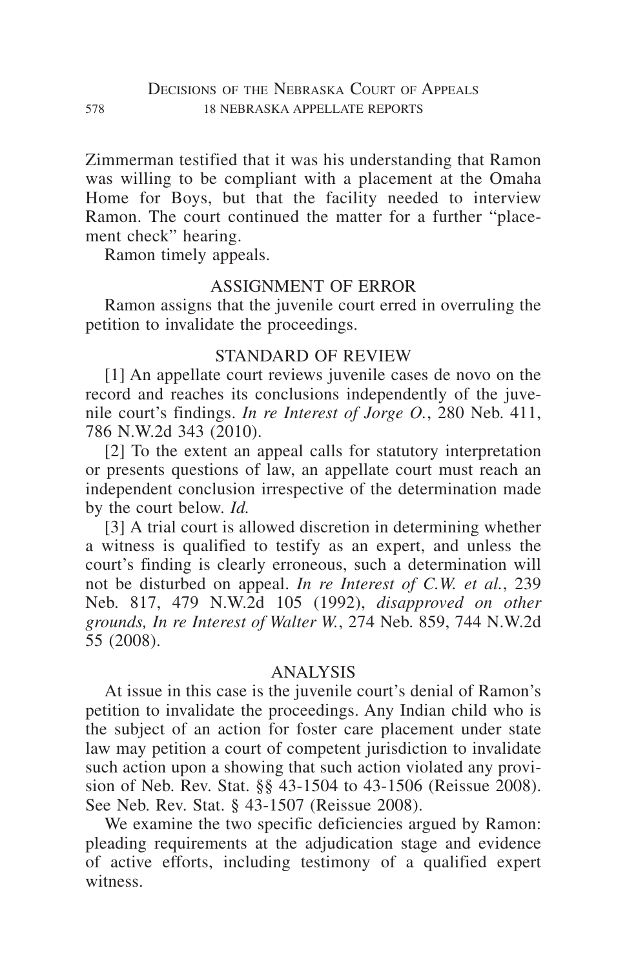Zimmerman testified that it was his understanding that Ramon was willing to be compliant with a placement at the Omaha Home for Boys, but that the facility needed to interview Ramon. The court continued the matter for a further "placement check" hearing.

Ramon timely appeals.

#### ASSIGNMENT OF ERROR

Ramon assigns that the juvenile court erred in overruling the petition to invalidate the proceedings.

# STANDARD OF REVIEW

[1] An appellate court reviews juvenile cases de novo on the record and reaches its conclusions independently of the juvenile court's findings. *In re Interest of Jorge O.*, 280 Neb. 411, 786 N.W.2d 343 (2010).

[2] To the extent an appeal calls for statutory interpretation or presents questions of law, an appellate court must reach an independent conclusion irrespective of the determination made by the court below. *Id.*

[3] A trial court is allowed discretion in determining whether a witness is qualified to testify as an expert, and unless the court's finding is clearly erroneous, such a determination will not be disturbed on appeal. *In re Interest of C.W. et al.*, 239 Neb. 817, 479 N.W.2d 105 (1992), *disapproved on other grounds, In re Interest of Walter W.*, 274 Neb. 859, 744 N.W.2d 55 (2008).

### ANALYSIS

At issue in this case is the juvenile court's denial of Ramon's petition to invalidate the proceedings. Any Indian child who is the subject of an action for foster care placement under state law may petition a court of competent jurisdiction to invalidate such action upon a showing that such action violated any provision of Neb. Rev. Stat. §§ 43-1504 to 43-1506 (Reissue 2008). See Neb. Rev. Stat. § 43-1507 (Reissue 2008).

We examine the two specific deficiencies argued by Ramon: pleading requirements at the adjudication stage and evidence of active efforts, including testimony of a qualified expert witness.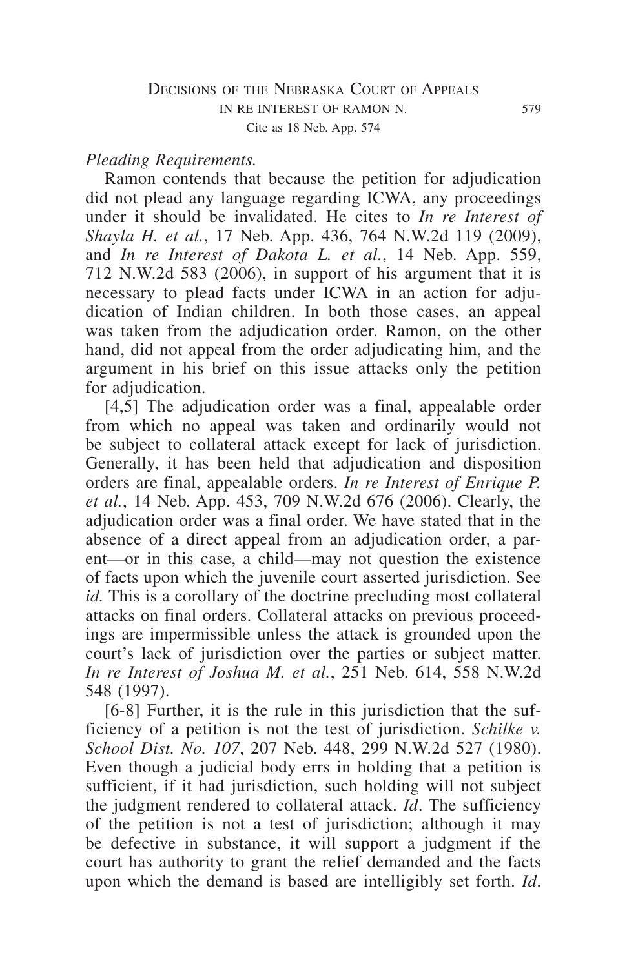#### *Pleading Requirements.*

Ramon contends that because the petition for adjudication did not plead any language regarding ICWA, any proceedings under it should be invalidated. He cites to *In re Interest of Shayla H. et al.*, 17 Neb. App. 436, 764 N.W.2d 119 (2009), and *In re Interest of Dakota L. et al.*, 14 Neb. App. 559, 712 N.W.2d 583 (2006), in support of his argument that it is necessary to plead facts under ICWA in an action for adjudication of Indian children. In both those cases, an appeal was taken from the adjudication order. Ramon, on the other hand, did not appeal from the order adjudicating him, and the argument in his brief on this issue attacks only the petition for adjudication.

 $[4,5]$  The adjudication order was a final, appealable order from which no appeal was taken and ordinarily would not be subject to collateral attack except for lack of jurisdiction. Generally, it has been held that adjudication and disposition orders are final, appealable orders. *In re Interest of Enrique P. et al.*, 14 Neb. App. 453, 709 N.W.2d 676 (2006). Clearly, the adjudication order was a final order. We have stated that in the absence of a direct appeal from an adjudication order, a parent—or in this case, a child—may not question the existence of facts upon which the juvenile court asserted jurisdiction. See *id.* This is a corollary of the doctrine precluding most collateral attacks on final orders. Collateral attacks on previous proceedings are impermissible unless the attack is grounded upon the court's lack of jurisdiction over the parties or subject matter. *In re Interest of Joshua M. et al.*, 251 Neb. 614, 558 N.W.2d 548 (1997).

[6-8] Further, it is the rule in this jurisdiction that the sufficiency of a petition is not the test of jurisdiction. *Schilke v. School Dist. No. 107*, 207 Neb. 448, 299 N.W.2d 527 (1980). Even though a judicial body errs in holding that a petition is sufficient, if it had jurisdiction, such holding will not subject the judgment rendered to collateral attack. *Id*. The sufficiency of the petition is not a test of jurisdiction; although it may be defective in substance, it will support a judgment if the court has authority to grant the relief demanded and the facts upon which the demand is based are intelligibly set forth. *Id*.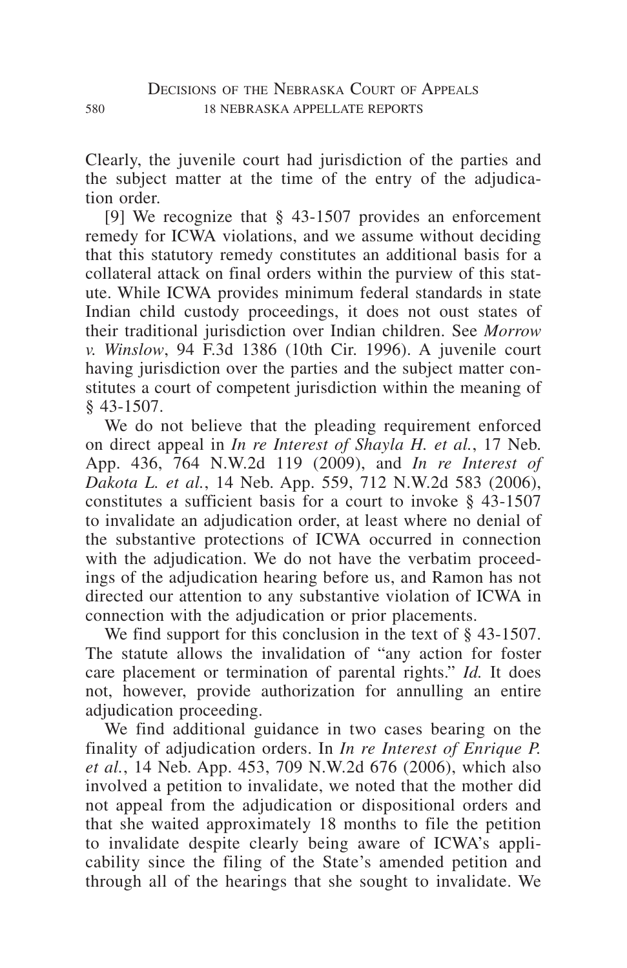Clearly, the juvenile court had jurisdiction of the parties and the subject matter at the time of the entry of the adjudication order.

[9] We recognize that § 43-1507 provides an enforcement remedy for ICWA violations, and we assume without deciding that this statutory remedy constitutes an additional basis for a collateral attack on final orders within the purview of this statute. While ICWA provides minimum federal standards in state Indian child custody proceedings, it does not oust states of their traditional jurisdiction over Indian children. See *Morrow v. Winslow*, 94 F.3d 1386 (10th Cir. 1996). A juvenile court having jurisdiction over the parties and the subject matter constitutes a court of competent jurisdiction within the meaning of § 43-1507.

We do not believe that the pleading requirement enforced on direct appeal in *In re Interest of Shayla H. et al.*, 17 Neb. App. 436, 764 N.W.2d 119 (2009), and *In re Interest of Dakota L. et al.*, 14 Neb. App. 559, 712 N.W.2d 583 (2006), constitutes a sufficient basis for a court to invoke § 43-1507 to invalidate an adjudication order, at least where no denial of the substantive protections of ICWA occurred in connection with the adjudication. We do not have the verbatim proceedings of the adjudication hearing before us, and Ramon has not directed our attention to any substantive violation of ICWA in connection with the adjudication or prior placements.

We find support for this conclusion in the text of  $\frac{1}{2}$  43-1507. The statute allows the invalidation of "any action for foster care placement or termination of parental rights." *Id.* It does not, however, provide authorization for annulling an entire adjudication proceeding.

We find additional guidance in two cases bearing on the finality of adjudication orders. In *In re Interest of Enrique P. et al.*, 14 Neb. App. 453, 709 N.W.2d 676 (2006), which also involved a petition to invalidate, we noted that the mother did not appeal from the adjudication or dispositional orders and that she waited approximately 18 months to file the petition to invalidate despite clearly being aware of ICWA's applicability since the filing of the State's amended petition and through all of the hearings that she sought to invalidate. We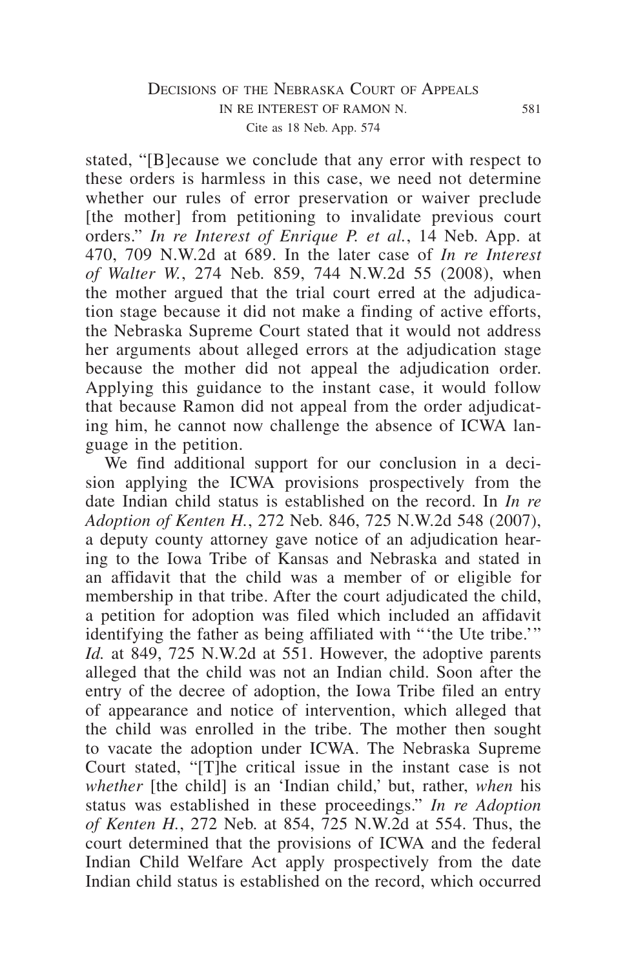## DECISIONS OF THE NEBRASKA COURT OF APPEALS in re interest of ramon n. 581 Cite as 18 Neb. App. 574

stated, "[B]ecause we conclude that any error with respect to these orders is harmless in this case, we need not determine whether our rules of error preservation or waiver preclude [the mother] from petitioning to invalidate previous court orders." *In re Interest of Enrique P. et al.*, 14 Neb. App. at 470, 709 N.W.2d at 689. In the later case of *In re Interest of Walter W.*, 274 Neb. 859, 744 N.W.2d 55 (2008), when the mother argued that the trial court erred at the adjudication stage because it did not make a finding of active efforts, the Nebraska Supreme Court stated that it would not address her arguments about alleged errors at the adjudication stage because the mother did not appeal the adjudication order. Applying this guidance to the instant case, it would follow that because Ramon did not appeal from the order adjudicating him, he cannot now challenge the absence of ICWA language in the petition.

We find additional support for our conclusion in a decision applying the ICWA provisions prospectively from the date Indian child status is established on the record. In *In re Adoption of Kenten H.*, 272 Neb. 846, 725 N.W.2d 548 (2007), a deputy county attorney gave notice of an adjudication hearing to the Iowa Tribe of Kansas and Nebraska and stated in an affidavit that the child was a member of or eligible for membership in that tribe. After the court adjudicated the child, a petition for adoption was filed which included an affidavit identifying the father as being affiliated with "'the Ute tribe.'" *Id.* at 849, 725 N.W.2d at 551. However, the adoptive parents alleged that the child was not an Indian child. Soon after the entry of the decree of adoption, the Iowa Tribe filed an entry of appearance and notice of intervention, which alleged that the child was enrolled in the tribe. The mother then sought to vacate the adoption under ICWA. The Nebraska Supreme Court stated, "[T]he critical issue in the instant case is not *whether* [the child] is an 'Indian child,' but, rather, *when* his status was established in these proceedings." *In re Adoption of Kenten H.*, 272 Neb. at 854, 725 N.W.2d at 554. Thus, the court determined that the provisions of ICWA and the federal Indian Child Welfare Act apply prospectively from the date Indian child status is established on the record, which occurred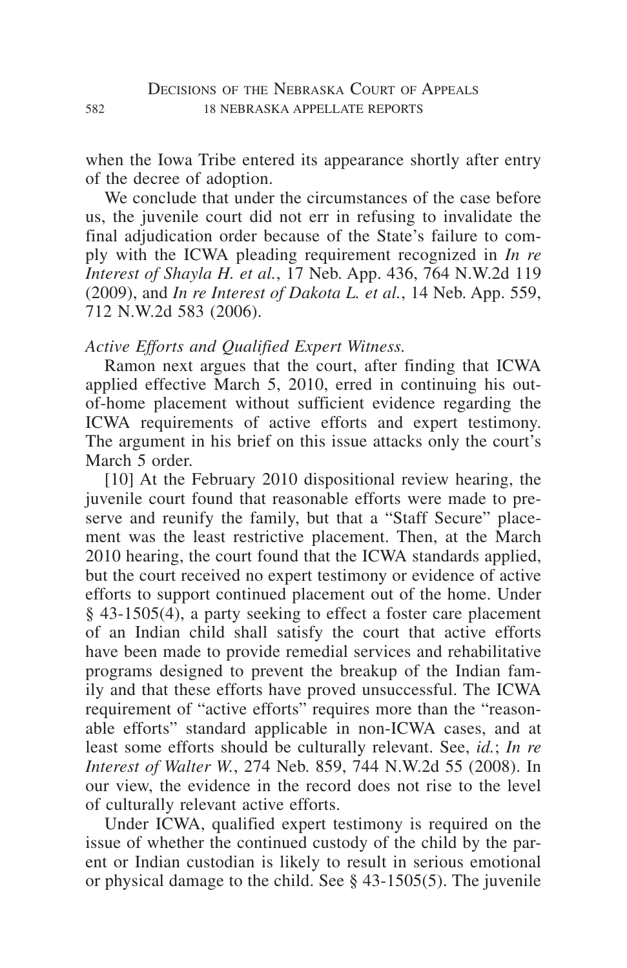when the Iowa Tribe entered its appearance shortly after entry of the decree of adoption.

We conclude that under the circumstances of the case before us, the juvenile court did not err in refusing to invalidate the final adjudication order because of the State's failure to comply with the ICWA pleading requirement recognized in *In re Interest of Shayla H. et al.*, 17 Neb. App. 436, 764 N.W.2d 119 (2009), and *In re Interest of Dakota L. et al.*, 14 Neb. App. 559, 712 N.W.2d 583 (2006).

#### *Active Efforts and Qualified Expert Witness.*

Ramon next argues that the court, after finding that ICWA applied effective March 5, 2010, erred in continuing his outof-home placement without sufficient evidence regarding the ICWA requirements of active efforts and expert testimony. The argument in his brief on this issue attacks only the court's March 5 order.

[10] At the February 2010 dispositional review hearing, the juvenile court found that reasonable efforts were made to preserve and reunify the family, but that a "Staff Secure" placement was the least restrictive placement. Then, at the March 2010 hearing, the court found that the ICWA standards applied. but the court received no expert testimony or evidence of active efforts to support continued placement out of the home. Under § 43-1505(4), a party seeking to effect a foster care placement of an Indian child shall satisfy the court that active efforts have been made to provide remedial services and rehabilitative programs designed to prevent the breakup of the Indian family and that these efforts have proved unsuccessful. The ICWA requirement of "active efforts" requires more than the "reasonable efforts" standard applicable in non-ICWA cases, and at least some efforts should be culturally relevant. See, *id.*; *In re Interest of Walter W.*, 274 Neb. 859, 744 N.W.2d 55 (2008). In our view, the evidence in the record does not rise to the level of culturally relevant active efforts.

Under ICWA, qualified expert testimony is required on the issue of whether the continued custody of the child by the parent or Indian custodian is likely to result in serious emotional or physical damage to the child. See § 43-1505(5). The juvenile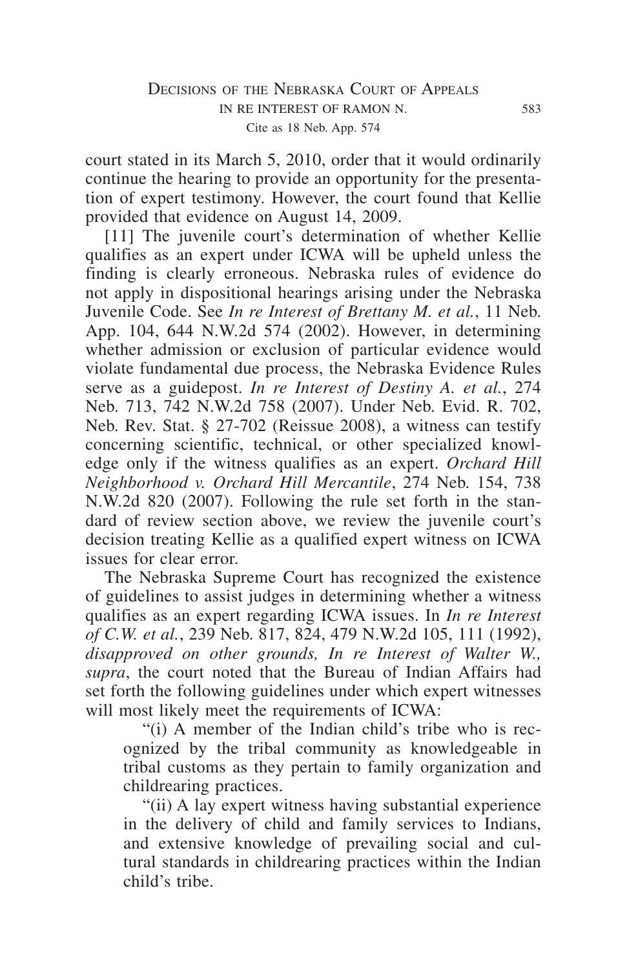## Decisions of the Nebraska Court of Appeals in re interest of ramon n. 583 Cite as 18 Neb. App. 574

court stated in its March 5, 2010, order that it would ordinarily continue the hearing to provide an opportunity for the presentation of expert testimony. However, the court found that Kellie provided that evidence on August 14, 2009.

[11] The juvenile court's determination of whether Kellie qualifies as an expert under ICWA will be upheld unless the finding is clearly erroneous. Nebraska rules of evidence do not apply in dispositional hearings arising under the Nebraska Juvenile Code. See *In re Interest of Brettany M. et al.*, 11 Neb. App. 104, 644 N.W.2d 574 (2002). However, in determining whether admission or exclusion of particular evidence would violate fundamental due process, the Nebraska Evidence Rules serve as a guidepost. *In re Interest of Destiny A. et al.*, 274 Neb. 713, 742 N.W.2d 758 (2007). Under Neb. Evid. R. 702, Neb. Rev. Stat. § 27-702 (Reissue 2008), a witness can testify concerning scientific, technical, or other specialized knowledge only if the witness qualifies as an expert. *Orchard Hill Neighborhood v. Orchard Hill Mercantile*, 274 Neb. 154, 738 N.W.2d 820 (2007). Following the rule set forth in the standard of review section above, we review the juvenile court's decision treating Kellie as a qualified expert witness on ICWA issues for clear error.

The Nebraska Supreme Court has recognized the existence of guidelines to assist judges in determining whether a witness qualifies as an expert regarding ICWA issues. In *In re Interest of C.W. et al.*, 239 Neb. 817, 824, 479 N.W.2d 105, 111 (1992), *disapproved on other grounds, In re Interest of Walter W., supra*, the court noted that the Bureau of Indian Affairs had set forth the following guidelines under which expert witnesses will most likely meet the requirements of ICWA:

"(i) A member of the Indian child's tribe who is recognized by the tribal community as knowledgeable in tribal customs as they pertain to family organization and childrearing practices.

"(ii) A lay expert witness having substantial experience in the delivery of child and family services to Indians, and extensive knowledge of prevailing social and cultural standards in childrearing practices within the Indian child's tribe.